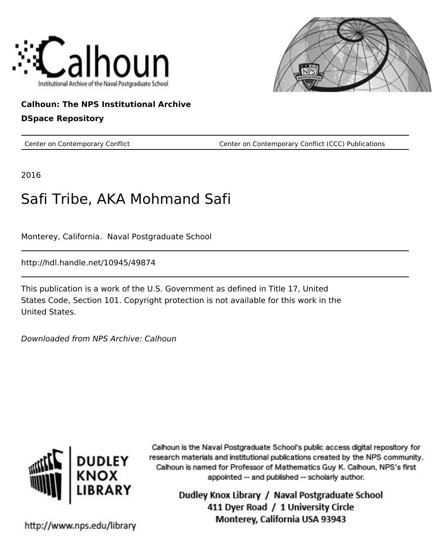



# **Calhoun: The NPS Institutional Archive**

#### **DSpace Repository**

Center on Contemporary Conflict Center on Contemporary Conflict (CCC) Publications

2016

# Safi Tribe, AKA Mohmand Safi

Monterey, California. Naval Postgraduate School

http://hdl.handle.net/10945/49874

This publication is a work of the U.S. Government as defined in Title 17, United States Code, Section 101. Copyright protection is not available for this work in the United States.

Downloaded from NPS Archive: Calhoun



Calhoun is the Naval Postgraduate School's public access digital repository for research materials and institutional publications created by the NPS community. Calhoun is named for Professor of Mathematics Guy K. Calhoun, NPS's first appointed -- and published -- scholarly author.

> Dudley Knox Library / Naval Postgraduate School 411 Dyer Road / 1 University Circle Monterey, California USA 93943

http://www.nps.edu/library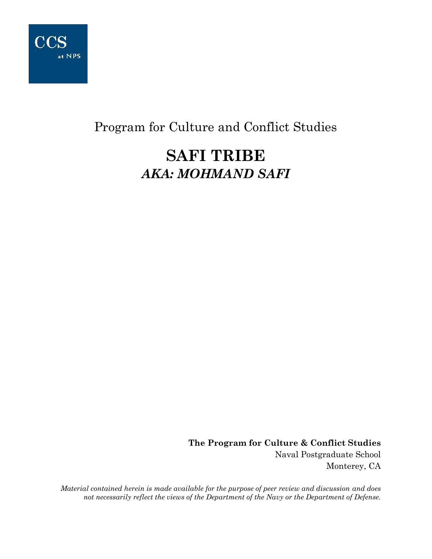

# Program for Culture and Conflict Studies

# **SAFI TRIBE** *AKA: MOHMAND SAFI*

**The Program for Culture & Conflict Studies** Naval Postgraduate School Monterey, CA

*Material contained herein is made available for the purpose of peer review and discussion and does not necessarily reflect the views of the Department of the Navy or the Department of Defense.*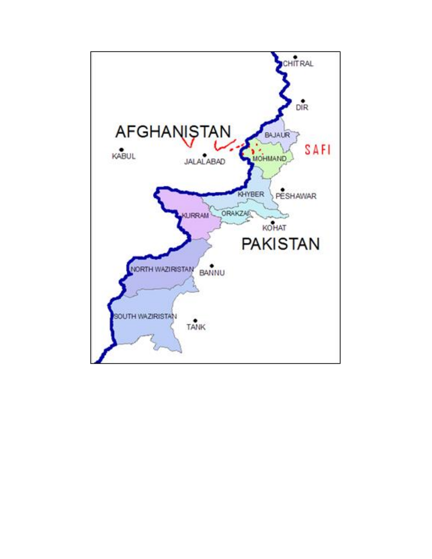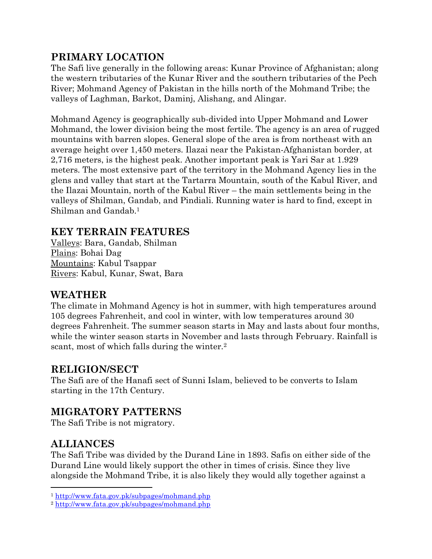# **PRIMARY LOCATION**

The Safi live generally in the following areas: Kunar Province of Afghanistan; along the western tributaries of the Kunar River and the southern tributaries of the Pech River; Mohmand Agency of Pakistan in the hills north of the Mohmand Tribe; the valleys of Laghman, Barkot, Daminj, Alishang, and Alingar.

Mohmand Agency is geographically sub-divided into Upper Mohmand and Lower Mohmand, the lower division being the most fertile. The agency is an area of rugged mountains with barren slopes. General slope of the area is from northeast with an average height over 1,450 meters. Ilazai near the Pakistan-Afghanistan border, at 2,716 meters, is the highest peak. Another important peak is Yari Sar at 1.929 meters. The most extensive part of the territory in the Mohmand Agency lies in the glens and valley that start at the Tartarra Mountain, south of the Kabul River, and the Ilazai Mountain, north of the Kabul River – the main settlements being in the valleys of Shilman, Gandab, and Pindiali. Running water is hard to find, except in Shilman and Gandab.<sup>1</sup>

## **KEY TERRAIN FEATURES**

Valleys: Bara, Gandab, Shilman Plains: Bohai Dag Mountains: Kabul Tsappar Rivers: Kabul, Kunar, Swat, Bara

#### **WEATHER**

The climate in Mohmand Agency is hot in summer, with high temperatures around 105 degrees Fahrenheit, and cool in winter, with low temperatures around 30 degrees Fahrenheit. The summer season starts in May and lasts about four months, while the winter season starts in November and lasts through February. Rainfall is scant, most of which falls during the winter.<sup>2</sup>

#### **RELIGION/SECT**

The Safi are of the Hanafi sect of Sunni Islam, believed to be converts to Islam starting in the 17th Century.

## **MIGRATORY PATTERNS**

The Safi Tribe is not migratory.

## **ALLIANCES**

l

The Safi Tribe was divided by the Durand Line in 1893. Safis on either side of the Durand Line would likely support the other in times of crisis. Since they live alongside the Mohmand Tribe, it is also likely they would ally together against a

<sup>1</sup> <http://www.fata.gov.pk/subpages/mohmand.php>

<sup>2</sup> <http://www.fata.gov.pk/subpages/mohmand.php>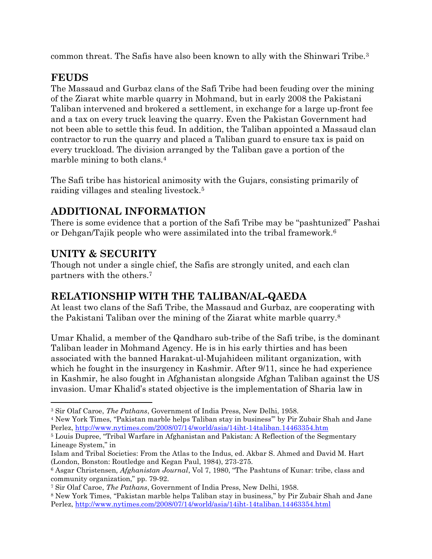common threat. The Safis have also been known to ally with the Shinwari Tribe.<sup>3</sup>

# **FEUDS**

The Massaud and Gurbaz clans of the Safi Tribe had been feuding over the mining of the Ziarat white marble quarry in Mohmand, but in early 2008 the Pakistani Taliban intervened and brokered a settlement, in exchange for a large up-front fee and a tax on every truck leaving the quarry. Even the Pakistan Government had not been able to settle this feud. In addition, the Taliban appointed a Massaud clan contractor to run the quarry and placed a Taliban guard to ensure tax is paid on every truckload. The division arranged by the Taliban gave a portion of the marble mining to both clans.<sup>4</sup>

The Safi tribe has historical animosity with the Gujars, consisting primarily of raiding villages and stealing livestock.<sup>5</sup>

## **ADDITIONAL INFORMATION**

There is some evidence that a portion of the Safi Tribe may be "pashtunized" Pashai or Dehgan/Tajik people who were assimilated into the tribal framework.<sup>6</sup>

# **UNITY & SECURITY**

Though not under a single chief, the Safis are strongly united, and each clan partners with the others.<sup>7</sup>

# **RELATIONSHIP WITH THE TALIBAN/AL-QAEDA**

At least two clans of the Safi Tribe, the Massaud and Gurbaz, are cooperating with the Pakistani Taliban over the mining of the Ziarat white marble quarry.<sup>8</sup>

Umar Khalid, a member of the Qandharo sub-tribe of the Safi tribe, is the dominant Taliban leader in Mohmand Agency. He is in his early thirties and has been associated with the banned Harakat-ul-Mujahideen militant organization, with which he fought in the insurgency in Kashmir. After 9/11, since he had experience in Kashmir, he also fought in Afghanistan alongside Afghan Taliban against the US invasion. Umar Khalid's stated objective is the implementation of Sharia law in

 $\overline{\phantom{a}}$ <sup>3</sup> Sir Olaf Caroe, *The Pathans*, Government of India Press, New Delhi, 1958.

<sup>4</sup> New York Times, "Pakistan marble helps Taliban stay in business'" by Pir Zubair Shah and Jane Perlez, <http://www.nytimes.com/2008/07/14/world/asia/14iht-14taliban.14463354.htm>

<sup>5</sup> Louis Dupree, "Tribal Warfare in Afghanistan and Pakistan: A Reflection of the Segmentary Lineage System," in

Islam and Tribal Societies: From the Atlas to the Indus, ed. Akbar S. Ahmed and David M. Hart (London, Bonston: Routledge and Kegan Paul, 1984), 273-275.

<sup>6</sup> Asgar Christensen*, Afghanistan Journal*, Vol 7, 1980, "The Pashtuns of Kunar: tribe, class and community organization," pp. 79-92.

<sup>7</sup> Sir Olaf Caroe, *The Pathans*, Government of India Press, New Delhi, 1958.

<sup>8</sup> New York Times, "Pakistan marble helps Taliban stay in business," by Pir Zubair Shah and Jane Perlez, <http://www.nytimes.com/2008/07/14/world/asia/14iht-14taliban.14463354.html>